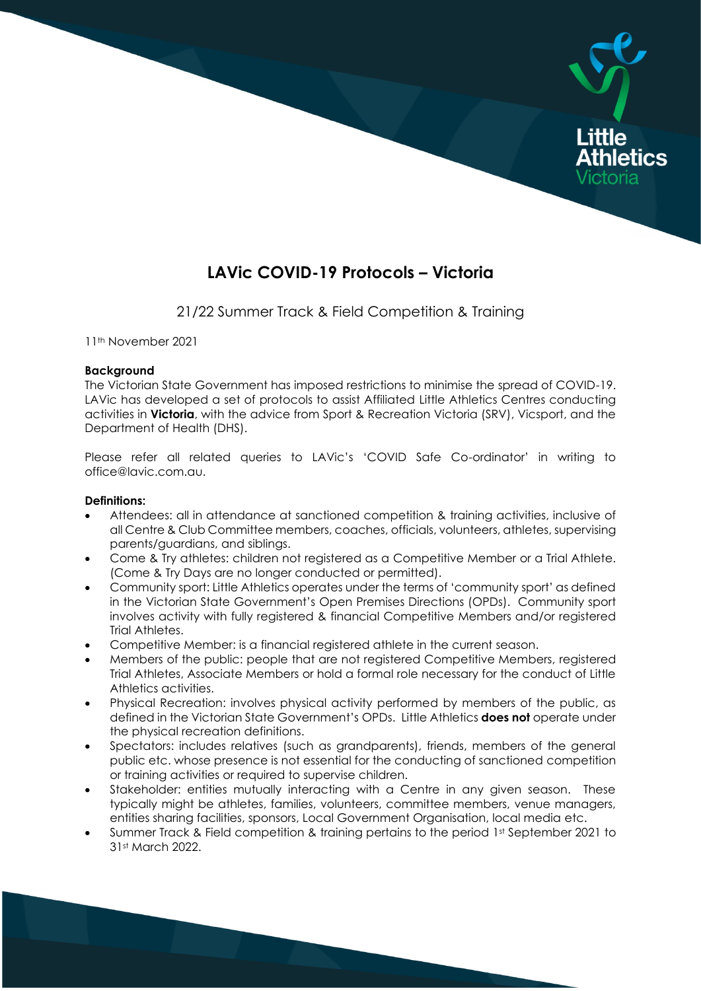

# **LAVic COVID-19 Protocols – Victoria**

21/22 Summer Track & Field Competition & Training

11th November 2021

#### **Background**

The Victorian State Government has imposed restrictions to minimise the spread of COVID-19. LAVic has developed a set of protocols to assist Affiliated Little Athletics Centres conducting activities in **Victoria**, with the advice from Sport & Recreation Victoria (SRV), Vicsport, and the Department of Health (DHS).

Please refer all related queries to LAVic's 'COVID Safe Co-ordinator' in writing to office@lavic.com.au.

#### **Definitions:**

- Attendees: all in attendance at sanctioned competition & training activities, inclusive of all Centre & Club Committee members, coaches, officials, volunteers, athletes, supervising parents/guardians, and siblings.
- Come & Try athletes: children not registered as a Competitive Member or a Trial Athlete. (Come & Try Days are no longer conducted or permitted).
- Community sport: Little Athletics operates under the terms of 'community sport' as defined in the Victorian State Government's Open Premises Directions (OPDs). Community sport involves activity with fully registered & financial Competitive Members and/or registered Trial Athletes.
- Competitive Member: is a financial registered athlete in the current season.
- Members of the public: people that are not registered Competitive Members, registered Trial Athletes, Associate Members or hold a formal role necessary for the conduct of Little Athletics activities.
- Physical Recreation: involves physical activity performed by members of the public, as defined in the Victorian State Government's OPDs. Little Athletics **does not** operate under the physical recreation definitions.
- Spectators: includes relatives (such as grandparents), friends, members of the general public etc. whose presence is not essential for the conducting of sanctioned competition or training activities or required to supervise children.
- Stakeholder: entities mutually interacting with a Centre in any given season. These typically might be athletes, families, volunteers, committee members, venue managers, entities sharing facilities, sponsors, Local Government Organisation, local media etc.
- Summer Track & Field competition & training pertains to the period 1st September 2021 to 31st March 2022.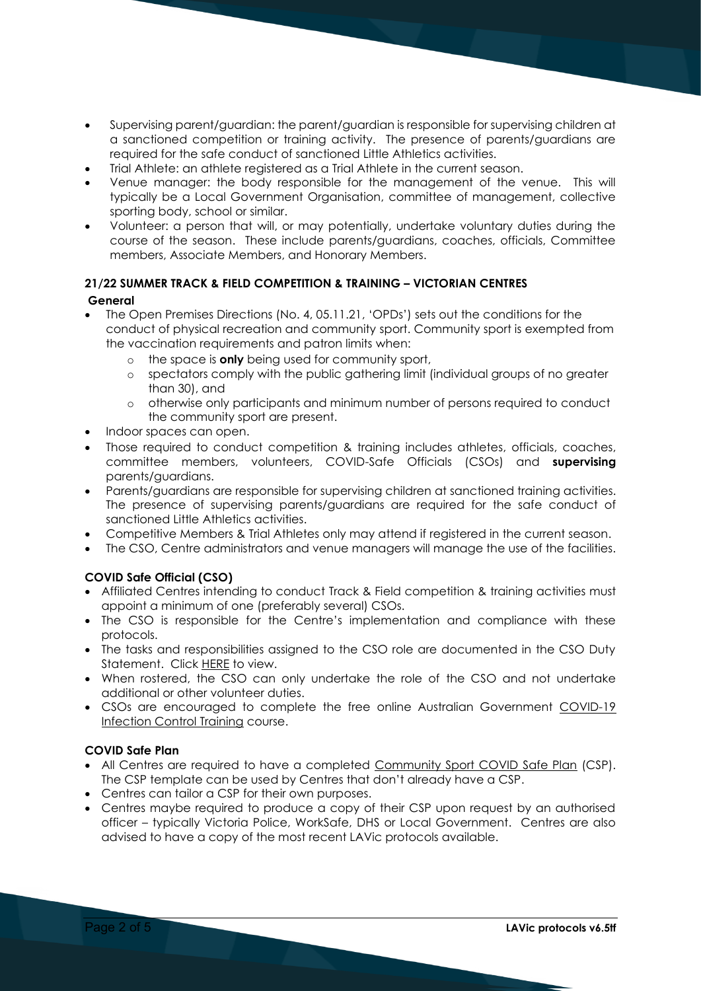- Supervising parent/guardian: the parent/guardian is responsible for supervising children at a sanctioned competition or training activity. The presence of parents/guardians are required for the safe conduct of sanctioned Little Athletics activities.
- Trial Athlete: an athlete registered as a Trial Athlete in the current season.
- Venue manager: the body responsible for the management of the venue. This will typically be a Local Government Organisation, committee of management, collective sporting body, school or similar.
- Volunteer: a person that will, or may potentially, undertake voluntary duties during the course of the season. These include parents/guardians, coaches, officials, Committee members, Associate Members, and Honorary Members.

# **21/22 SUMMER TRACK & FIELD COMPETITION & TRAINING – VICTORIAN CENTRES**

## **General**

- The Open Premises Directions (No. 4, 05.11.21, 'OPDs') sets out the conditions for the conduct of physical recreation and community sport. Community sport is exempted from the vaccination requirements and patron limits when:
	- o the space is **only** being used for community sport,
	- o spectators comply with the public gathering limit (individual groups of no greater than 30), and
	- o otherwise only participants and minimum number of persons required to conduct the community sport are present.
- Indoor spaces can open.
- Those required to conduct competition & training includes athletes, officials, coaches, committee members, volunteers, COVID-Safe Officials (CSOs) and **supervising** parents/guardians.
- Parents/guardians are responsible for supervising children at sanctioned training activities. The presence of supervising parents/guardians are required for the safe conduct of sanctioned Little Athletics activities.
- Competitive Members & Trial Athletes only may attend if registered in the current season.
- The CSO, Centre administrators and venue managers will manage the use of the facilities.

# **COVID Safe Official (CSO)**

- Affiliated Centres intending to conduct Track & Field competition & training activities must appoint a minimum of one (preferably several) CSOs.
- The CSO is responsible for the Centre's implementation and compliance with these protocols.
- The tasks and responsibilities assigned to the CSO role are documented in the CSO Duty Statement. Click HERE to view.
- When rostered, the CSO can only undertake the role of the CSO and not undertake additional or other volunteer duties.
- CSOs are encouraged to complete the free online Australian Government COVID-19 Infection Control Training course.

# **COVID Safe Plan**

- All Centres are required to have a completed Community Sport COVID Safe Plan (CSP). The CSP template can be used by Centres that don't already have a CSP.
- Centres can tailor a CSP for their own purposes.
- Centres maybe required to produce a copy of their CSP upon request by an authorised officer – typically Victoria Police, WorkSafe, DHS or Local Government. Centres are also advised to have a copy of the most recent LAVic protocols available.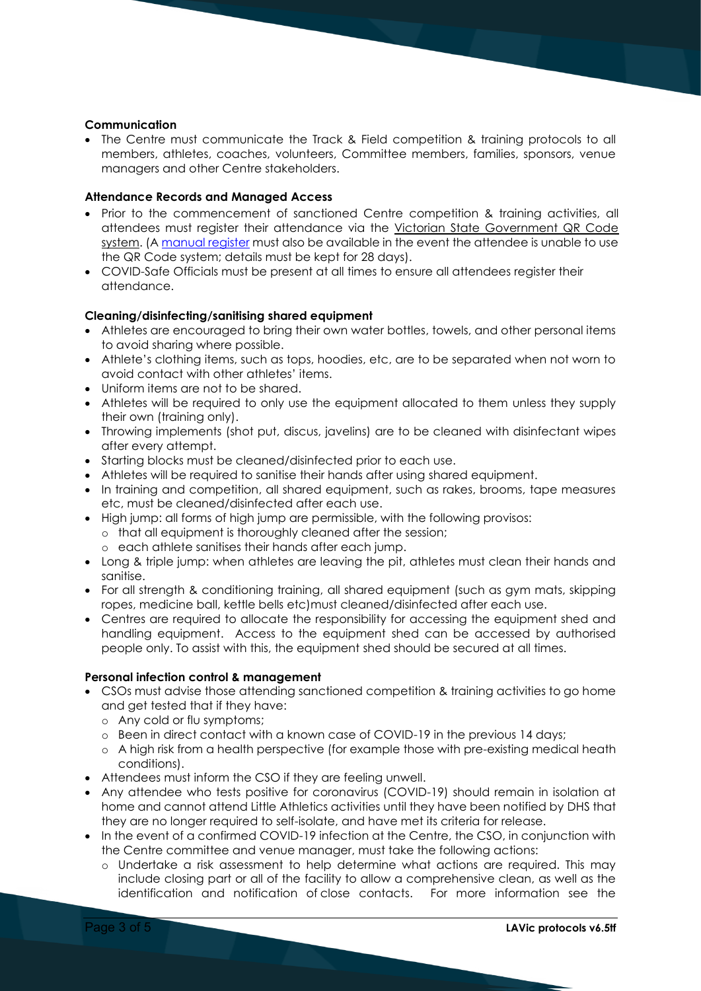#### **Communication**

• The Centre must communicate the Track & Field competition & training protocols to all members, athletes, coaches, volunteers, Committee members, families, sponsors, venue managers and other Centre stakeholders.

#### **Attendance Records and Managed Access**

- Prior to the commencement of sanctioned Centre competition & training activities, all attendees must register their attendance via the Victorian State Government QR Code system. (A manual register must also be available in the event the attendee is unable to use the QR Code system; details must be kept for 28 days).
- COVID-Safe Officials must be present at all times to ensure all attendees register their attendance.

#### **Cleaning/disinfecting/sanitising shared equipment**

- Athletes are encouraged to bring their own water bottles, towels, and other personal items to avoid sharing where possible.
- Athlete's clothing items, such as tops, hoodies, etc, are to be separated when not worn to avoid contact with other athletes' items.
- Uniform items are not to be shared.
- Athletes will be required to only use the equipment allocated to them unless they supply their own (training only).
- Throwing implements (shot put, discus, javelins) are to be cleaned with disinfectant wipes after every attempt.
- Starting blocks must be cleaned/disinfected prior to each use.
- Athletes will be required to sanitise their hands after using shared equipment.
- In training and competition, all shared equipment, such as rakes, brooms, tape measures etc, must be cleaned/disinfected after each use.
- High jump: all forms of high jump are permissible, with the following provisos:
	- o that all equipment is thoroughly cleaned after the session;
	- o each athlete sanitises their hands after each jump.
- Long & triple jump: when athletes are leaving the pit, athletes must clean their hands and sanitise.
- For all strength & conditioning training, all shared equipment (such as gym mats, skipping ropes, medicine ball, kettle bells etc)must cleaned/disinfected after each use.
- Centres are required to allocate the responsibility for accessing the equipment shed and handling equipment. Access to the equipment shed can be accessed by authorised people only. To assist with this, the equipment shed should be secured at all times.

#### **Personal infection control & management**

- CSOs must advise those attending sanctioned competition & training activities to go home and get tested that if they have:
	- o Any cold or flu symptoms;
	- o Been in direct contact with a known case of COVID-19 in the previous 14 days;
	- o A high risk from a health perspective (for example those with pre-existing medical heath conditions).
- Attendees must inform the CSO if they are feeling unwell.
- Any attendee who tests positive for coronavirus (COVID-19) should remain in isolation at home and cannot attend Little Athletics activities until they have been notified by DHS that they are no longer required to self-isolate, and have met its criteria for release.
- In the event of a confirmed COVID-19 infection at the Centre, the CSO, in conjunction with the Centre committee and venue manager, must take the following actions:
	- o Undertake a risk assessment to help determine what actions are required. This may include closing part or all of the facility to allow a comprehensive clean, as well as the identification and notification of close contacts. For more information see the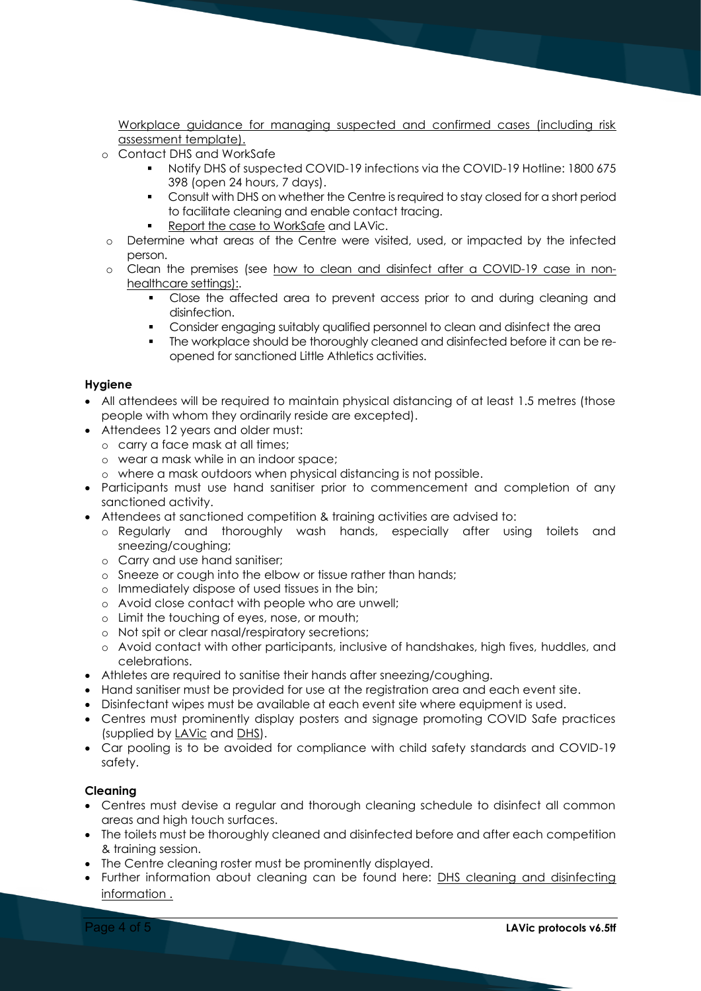Workplace guidance for managing suspected and confirmed cases (including risk assessment template).

- o Contact DHS and WorkSafe
	- Notify DHS of suspected COVID-19 infections via the COVID-19 Hotline: 1800 675 398 (open 24 hours, 7 days).
	- **•** Consult with DHS on whether the Centre is required to stay closed for a short period to facilitate cleaning and enable contact tracing.
	- Report the case to WorkSafe and LAVic.
- o Determine what areas of the Centre were visited, used, or impacted by the infected person.
- o Clean the premises (see how to clean and disinfect after a COVID-19 case in nonhealthcare settings):.
	- Close the affected area to prevent access prior to and during cleaning and disinfection.
	- Consider engaging suitably qualified personnel to clean and disinfect the area
	- **The workplace should be thoroughly cleaned and disinfected before it can be re**opened for sanctioned Little Athletics activities.

## **Hygiene**

- All attendees will be required to maintain physical distancing of at least 1.5 metres (those people with whom they ordinarily reside are excepted).
- Attendees 12 years and older must:
	- o carry a face mask at all times;
	- o wear a mask while in an indoor space;
	- o where a mask outdoors when physical distancing is not possible.
- Participants must use hand sanitiser prior to commencement and completion of any sanctioned activity.
- Attendees at sanctioned competition & training activities are advised to:
	- o Regularly and thoroughly wash hands, especially after using toilets and sneezing/coughing;
	- o Carry and use hand sanitiser;
	- o Sneeze or cough into the elbow or tissue rather than hands;
	- o Immediately dispose of used tissues in the bin;
	- o Avoid close contact with people who are unwell;
	- o Limit the touching of eyes, nose, or mouth;
	- o Not spit or clear nasal/respiratory secretions;
	- o Avoid contact with other participants, inclusive of handshakes, high fives, huddles, and celebrations.
- Athletes are required to sanitise their hands after sneezing/coughing.
- Hand sanitiser must be provided for use at the reaistration area and each event site.
- Disinfectant wipes must be available at each event site where equipment is used.
- Centres must prominently display posters and signage promoting COVID Safe practices (supplied by LAVic and DHS).
- Car pooling is to be avoided for compliance with child safety standards and COVID-19 safety.

#### **Cleaning**

- Centres must devise a regular and thorough cleaning schedule to disinfect all common areas and high touch surfaces.
- The toilets must be thoroughly cleaned and disinfected before and after each competition & training session.
- The Centre cleaning roster must be prominently displayed.
- Further information about cleaning can be found here: DHS cleaning and disinfecting information .